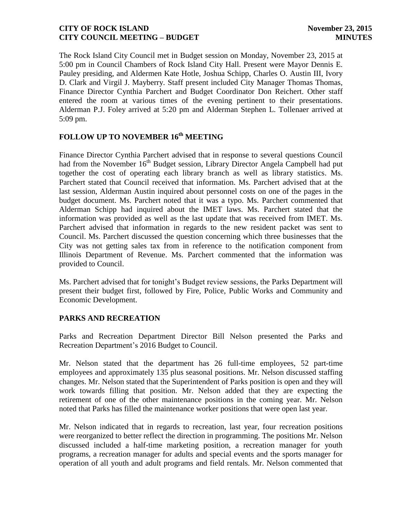The Rock Island City Council met in Budget session on Monday, November 23, 2015 at 5:00 pm in Council Chambers of Rock Island City Hall. Present were Mayor Dennis E. Pauley presiding, and Aldermen Kate Hotle, Joshua Schipp, Charles O. Austin III, Ivory D. Clark and Virgil J. Mayberry. Staff present included City Manager Thomas Thomas, Finance Director Cynthia Parchert and Budget Coordinator Don Reichert. Other staff entered the room at various times of the evening pertinent to their presentations. Alderman P.J. Foley arrived at 5:20 pm and Alderman Stephen L. Tollenaer arrived at 5:09 pm.

# **FOLLOW UP TO NOVEMBER 16 th MEETING**

Finance Director Cynthia Parchert advised that in response to several questions Council had from the November  $16<sup>th</sup>$  Budget session, Library Director Angela Campbell had put together the cost of operating each library branch as well as library statistics. Ms. Parchert stated that Council received that information. Ms. Parchert advised that at the last session, Alderman Austin inquired about personnel costs on one of the pages in the budget document. Ms. Parchert noted that it was a typo. Ms. Parchert commented that Alderman Schipp had inquired about the IMET laws. Ms. Parchert stated that the information was provided as well as the last update that was received from IMET. Ms. Parchert advised that information in regards to the new resident packet was sent to Council. Ms. Parchert discussed the question concerning which three businesses that the City was not getting sales tax from in reference to the notification component from Illinois Department of Revenue. Ms. Parchert commented that the information was provided to Council.

Ms. Parchert advised that for tonight's Budget review sessions, the Parks Department will present their budget first, followed by Fire, Police, Public Works and Community and Economic Development.

#### **PARKS AND RECREATION**

Parks and Recreation Department Director Bill Nelson presented the Parks and Recreation Department's 2016 Budget to Council.

Mr. Nelson stated that the department has 26 full-time employees, 52 part-time employees and approximately 135 plus seasonal positions. Mr. Nelson discussed staffing changes. Mr. Nelson stated that the Superintendent of Parks position is open and they will work towards filling that position. Mr. Nelson added that they are expecting the retirement of one of the other maintenance positions in the coming year. Mr. Nelson noted that Parks has filled the maintenance worker positions that were open last year.

Mr. Nelson indicated that in regards to recreation, last year, four recreation positions were reorganized to better reflect the direction in programming. The positions Mr. Nelson discussed included a half-time marketing position, a recreation manager for youth programs, a recreation manager for adults and special events and the sports manager for operation of all youth and adult programs and field rentals. Mr. Nelson commented that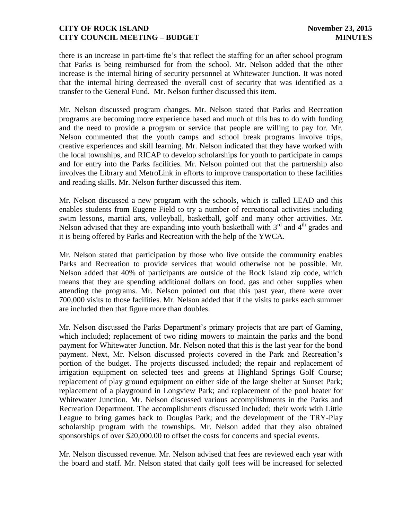there is an increase in part-time fte's that reflect the staffing for an after school program that Parks is being reimbursed for from the school. Mr. Nelson added that the other increase is the internal hiring of security personnel at Whitewater Junction. It was noted that the internal hiring decreased the overall cost of security that was identified as a transfer to the General Fund. Mr. Nelson further discussed this item.

Mr. Nelson discussed program changes. Mr. Nelson stated that Parks and Recreation programs are becoming more experience based and much of this has to do with funding and the need to provide a program or service that people are willing to pay for. Mr. Nelson commented that the youth camps and school break programs involve trips, creative experiences and skill learning. Mr. Nelson indicated that they have worked with the local townships, and RICAP to develop scholarships for youth to participate in camps and for entry into the Parks facilities. Mr. Nelson pointed out that the partnership also involves the Library and MetroLink in efforts to improve transportation to these facilities and reading skills. Mr. Nelson further discussed this item.

Mr. Nelson discussed a new program with the schools, which is called LEAD and this enables students from Eugene Field to try a number of recreational activities including swim lessons, martial arts, volleyball, basketball, golf and many other activities. Mr. Nelson advised that they are expanding into youth basketball with  $3<sup>rd</sup>$  and  $4<sup>th</sup>$  grades and it is being offered by Parks and Recreation with the help of the YWCA.

Mr. Nelson stated that participation by those who live outside the community enables Parks and Recreation to provide services that would otherwise not be possible. Mr. Nelson added that 40% of participants are outside of the Rock Island zip code, which means that they are spending additional dollars on food, gas and other supplies when attending the programs. Mr. Nelson pointed out that this past year, there were over 700,000 visits to those facilities. Mr. Nelson added that if the visits to parks each summer are included then that figure more than doubles.

Mr. Nelson discussed the Parks Department's primary projects that are part of Gaming, which included; replacement of two riding mowers to maintain the parks and the bond payment for Whitewater Junction. Mr. Nelson noted that this is the last year for the bond payment. Next, Mr. Nelson discussed projects covered in the Park and Recreation's portion of the budget. The projects discussed included; the repair and replacement of irrigation equipment on selected tees and greens at Highland Springs Golf Course; replacement of play ground equipment on either side of the large shelter at Sunset Park; replacement of a playground in Longview Park; and replacement of the pool heater for Whitewater Junction. Mr. Nelson discussed various accomplishments in the Parks and Recreation Department. The accomplishments discussed included; their work with Little League to bring games back to Douglas Park; and the development of the TRY-Play scholarship program with the townships. Mr. Nelson added that they also obtained sponsorships of over \$20,000.00 to offset the costs for concerts and special events.

Mr. Nelson discussed revenue. Mr. Nelson advised that fees are reviewed each year with the board and staff. Mr. Nelson stated that daily golf fees will be increased for selected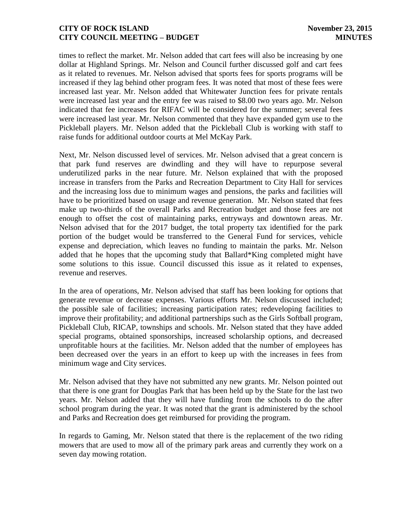times to reflect the market. Mr. Nelson added that cart fees will also be increasing by one dollar at Highland Springs. Mr. Nelson and Council further discussed golf and cart fees as it related to revenues. Mr. Nelson advised that sports fees for sports programs will be increased if they lag behind other program fees. It was noted that most of these fees were increased last year. Mr. Nelson added that Whitewater Junction fees for private rentals were increased last year and the entry fee was raised to \$8.00 two years ago. Mr. Nelson indicated that fee increases for RIFAC will be considered for the summer; several fees were increased last year. Mr. Nelson commented that they have expanded gym use to the Pickleball players. Mr. Nelson added that the Pickleball Club is working with staff to raise funds for additional outdoor courts at Mel McKay Park.

Next, Mr. Nelson discussed level of services. Mr. Nelson advised that a great concern is that park fund reserves are dwindling and they will have to repurpose several underutilized parks in the near future. Mr. Nelson explained that with the proposed increase in transfers from the Parks and Recreation Department to City Hall for services and the increasing loss due to minimum wages and pensions, the parks and facilities will have to be prioritized based on usage and revenue generation. Mr. Nelson stated that fees make up two-thirds of the overall Parks and Recreation budget and those fees are not enough to offset the cost of maintaining parks, entryways and downtown areas. Mr. Nelson advised that for the 2017 budget, the total property tax identified for the park portion of the budget would be transferred to the General Fund for services, vehicle expense and depreciation, which leaves no funding to maintain the parks. Mr. Nelson added that he hopes that the upcoming study that Ballard\*King completed might have some solutions to this issue. Council discussed this issue as it related to expenses, revenue and reserves.

In the area of operations, Mr. Nelson advised that staff has been looking for options that generate revenue or decrease expenses. Various efforts Mr. Nelson discussed included; the possible sale of facilities; increasing participation rates; redeveloping facilities to improve their profitability; and additional partnerships such as the Girls Softball program, Pickleball Club, RICAP, townships and schools. Mr. Nelson stated that they have added special programs, obtained sponsorships, increased scholarship options, and decreased unprofitable hours at the facilities. Mr. Nelson added that the number of employees has been decreased over the years in an effort to keep up with the increases in fees from minimum wage and City services.

Mr. Nelson advised that they have not submitted any new grants. Mr. Nelson pointed out that there is one grant for Douglas Park that has been held up by the State for the last two years. Mr. Nelson added that they will have funding from the schools to do the after school program during the year. It was noted that the grant is administered by the school and Parks and Recreation does get reimbursed for providing the program.

In regards to Gaming, Mr. Nelson stated that there is the replacement of the two riding mowers that are used to mow all of the primary park areas and currently they work on a seven day mowing rotation.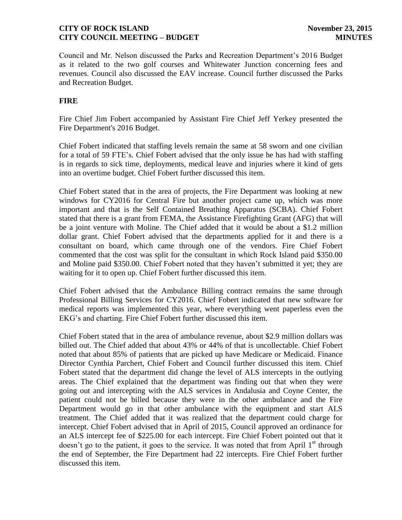Council and Mr. Nelson discussed the Parks and Recreation Department's 2016 Budget as it related to the two golf courses and Whitewater Junction concerning fees and revenues. Council also discussed the EAV increase. Council further discussed the Parks and Recreation Budget.

# **FIRE**

Fire Chief Jim Fobert accompanied by Assistant Fire Chief Jeff Yerkey presented the Fire Department's 2016 Budget.

Chief Fobert indicated that staffing levels remain the same at 58 sworn and one civilian for a total of 59 FTE's. Chief Fobert advised that the only issue he has had with staffing is in regards to sick time, deployments, medical leave and injuries where it kind of gets into an overtime budget. Chief Fobert further discussed this item.

Chief Fobert stated that in the area of projects, the Fire Department was looking at new windows for CY2016 for Central Fire but another project came up, which was more important and that is the Self Contained Breathing Apparatus (SCBA). Chief Fobert stated that there is a grant from FEMA, the Assistance Firefighting Grant (AFG) that will be a joint venture with Moline. The Chief added that it would be about a \$1.2 million dollar grant. Chief Fobert advised that the departments applied for it and there is a consultant on board, which came through one of the vendors. Fire Chief Fobert commented that the cost was split for the consultant in which Rock Island paid \$350.00 and Moline paid \$350.00. Chief Fobert noted that they haven't submitted it yet; they are waiting for it to open up. Chief Fobert further discussed this item.

Chief Fobert advised that the Ambulance Billing contract remains the same through Professional Billing Services for CY2016. Chief Fobert indicated that new software for medical reports was implemented this year, where everything went paperless even the EKG's and charting. Fire Chief Fobert further discussed this item.

Chief Fobert stated that in the area of ambulance revenue, about \$2.9 million dollars was billed out. The Chief added that about 43% or 44% of that is uncollectable. Chief Fobert noted that about 85% of patients that are picked up have Medicare or Medicaid. Finance Director Cynthia Parchert, Chief Fobert and Council further discussed this item. Chief Fobert stated that the department did change the level of ALS intercepts in the outlying areas. The Chief explained that the department was finding out that when they were going out and intercepting with the ALS services in Andalusia and Coyne Center, the patient could not be billed because they were in the other ambulance and the Fire Department would go in that other ambulance with the equipment and start ALS treatment. The Chief added that it was realized that the department could charge for intercept. Chief Fobert advised that in April of 2015, Council approved an ordinance for an ALS intercept fee of \$225.00 for each intercept. Fire Chief Fobert pointed out that it doesn't go to the patient, it goes to the service. It was noted that from April  $1<sup>st</sup>$  through the end of September, the Fire Department had 22 intercepts. Fire Chief Fobert further discussed this item.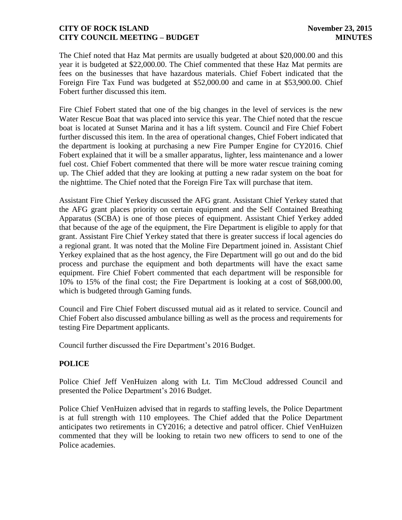The Chief noted that Haz Mat permits are usually budgeted at about \$20,000.00 and this year it is budgeted at \$22,000.00. The Chief commented that these Haz Mat permits are fees on the businesses that have hazardous materials. Chief Fobert indicated that the Foreign Fire Tax Fund was budgeted at \$52,000.00 and came in at \$53,900.00. Chief Fobert further discussed this item.

Fire Chief Fobert stated that one of the big changes in the level of services is the new Water Rescue Boat that was placed into service this year. The Chief noted that the rescue boat is located at Sunset Marina and it has a lift system. Council and Fire Chief Fobert further discussed this item. In the area of operational changes, Chief Fobert indicated that the department is looking at purchasing a new Fire Pumper Engine for CY2016. Chief Fobert explained that it will be a smaller apparatus, lighter, less maintenance and a lower fuel cost. Chief Fobert commented that there will be more water rescue training coming up. The Chief added that they are looking at putting a new radar system on the boat for the nighttime. The Chief noted that the Foreign Fire Tax will purchase that item.

Assistant Fire Chief Yerkey discussed the AFG grant. Assistant Chief Yerkey stated that the AFG grant places priority on certain equipment and the Self Contained Breathing Apparatus (SCBA) is one of those pieces of equipment. Assistant Chief Yerkey added that because of the age of the equipment, the Fire Department is eligible to apply for that grant. Assistant Fire Chief Yerkey stated that there is greater success if local agencies do a regional grant. It was noted that the Moline Fire Department joined in. Assistant Chief Yerkey explained that as the host agency, the Fire Department will go out and do the bid process and purchase the equipment and both departments will have the exact same equipment. Fire Chief Fobert commented that each department will be responsible for 10% to 15% of the final cost; the Fire Department is looking at a cost of \$68,000.00, which is budgeted through Gaming funds.

Council and Fire Chief Fobert discussed mutual aid as it related to service. Council and Chief Fobert also discussed ambulance billing as well as the process and requirements for testing Fire Department applicants.

Council further discussed the Fire Department's 2016 Budget.

# **POLICE**

Police Chief Jeff VenHuizen along with Lt. Tim McCloud addressed Council and presented the Police Department's 2016 Budget.

Police Chief VenHuizen advised that in regards to staffing levels, the Police Department is at full strength with 110 employees. The Chief added that the Police Department anticipates two retirements in CY2016; a detective and patrol officer. Chief VenHuizen commented that they will be looking to retain two new officers to send to one of the Police academies.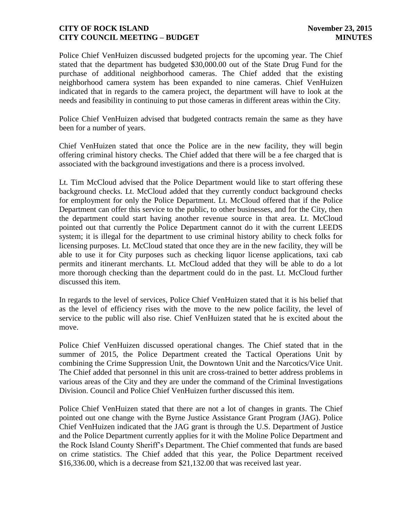Police Chief VenHuizen discussed budgeted projects for the upcoming year. The Chief stated that the department has budgeted \$30,000.00 out of the State Drug Fund for the purchase of additional neighborhood cameras. The Chief added that the existing neighborhood camera system has been expanded to nine cameras. Chief VenHuizen indicated that in regards to the camera project, the department will have to look at the needs and feasibility in continuing to put those cameras in different areas within the City.

Police Chief VenHuizen advised that budgeted contracts remain the same as they have been for a number of years.

Chief VenHuizen stated that once the Police are in the new facility, they will begin offering criminal history checks. The Chief added that there will be a fee charged that is associated with the background investigations and there is a process involved.

Lt. Tim McCloud advised that the Police Department would like to start offering these background checks. Lt. McCloud added that they currently conduct background checks for employment for only the Police Department. Lt. McCloud offered that if the Police Department can offer this service to the public, to other businesses, and for the City, then the department could start having another revenue source in that area. Lt. McCloud pointed out that currently the Police Department cannot do it with the current LEEDS system; it is illegal for the department to use criminal history ability to check folks for licensing purposes. Lt. McCloud stated that once they are in the new facility, they will be able to use it for City purposes such as checking liquor license applications, taxi cab permits and itinerant merchants. Lt. McCloud added that they will be able to do a lot more thorough checking than the department could do in the past. Lt. McCloud further discussed this item.

In regards to the level of services, Police Chief VenHuizen stated that it is his belief that as the level of efficiency rises with the move to the new police facility, the level of service to the public will also rise. Chief VenHuizen stated that he is excited about the move.

Police Chief VenHuizen discussed operational changes. The Chief stated that in the summer of 2015, the Police Department created the Tactical Operations Unit by combining the Crime Suppression Unit, the Downtown Unit and the Narcotics/Vice Unit. The Chief added that personnel in this unit are cross-trained to better address problems in various areas of the City and they are under the command of the Criminal Investigations Division. Council and Police Chief VenHuizen further discussed this item.

Police Chief VenHuizen stated that there are not a lot of changes in grants. The Chief pointed out one change with the Byrne Justice Assistance Grant Program (JAG). Police Chief VenHuizen indicated that the JAG grant is through the U.S. Department of Justice and the Police Department currently applies for it with the Moline Police Department and the Rock Island County Sheriff's Department. The Chief commented that funds are based on crime statistics. The Chief added that this year, the Police Department received \$16,336.00, which is a decrease from \$21,132.00 that was received last year.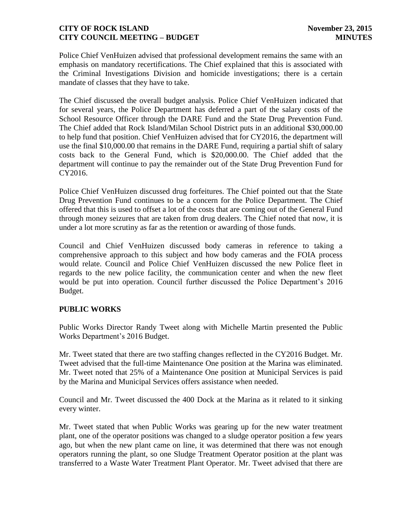Police Chief VenHuizen advised that professional development remains the same with an emphasis on mandatory recertifications. The Chief explained that this is associated with the Criminal Investigations Division and homicide investigations; there is a certain mandate of classes that they have to take.

The Chief discussed the overall budget analysis. Police Chief VenHuizen indicated that for several years, the Police Department has deferred a part of the salary costs of the School Resource Officer through the DARE Fund and the State Drug Prevention Fund. The Chief added that Rock Island/Milan School District puts in an additional \$30,000.00 to help fund that position. Chief VenHuizen advised that for CY2016, the department will use the final \$10,000.00 that remains in the DARE Fund, requiring a partial shift of salary costs back to the General Fund, which is \$20,000.00. The Chief added that the department will continue to pay the remainder out of the State Drug Prevention Fund for CY2016.

Police Chief VenHuizen discussed drug forfeitures. The Chief pointed out that the State Drug Prevention Fund continues to be a concern for the Police Department. The Chief offered that this is used to offset a lot of the costs that are coming out of the General Fund through money seizures that are taken from drug dealers. The Chief noted that now, it is under a lot more scrutiny as far as the retention or awarding of those funds.

Council and Chief VenHuizen discussed body cameras in reference to taking a comprehensive approach to this subject and how body cameras and the FOIA process would relate. Council and Police Chief VenHuizen discussed the new Police fleet in regards to the new police facility, the communication center and when the new fleet would be put into operation. Council further discussed the Police Department's 2016 Budget.

#### **PUBLIC WORKS**

Public Works Director Randy Tweet along with Michelle Martin presented the Public Works Department's 2016 Budget.

Mr. Tweet stated that there are two staffing changes reflected in the CY2016 Budget. Mr. Tweet advised that the full-time Maintenance One position at the Marina was eliminated. Mr. Tweet noted that 25% of a Maintenance One position at Municipal Services is paid by the Marina and Municipal Services offers assistance when needed.

Council and Mr. Tweet discussed the 400 Dock at the Marina as it related to it sinking every winter.

Mr. Tweet stated that when Public Works was gearing up for the new water treatment plant, one of the operator positions was changed to a sludge operator position a few years ago, but when the new plant came on line, it was determined that there was not enough operators running the plant, so one Sludge Treatment Operator position at the plant was transferred to a Waste Water Treatment Plant Operator. Mr. Tweet advised that there are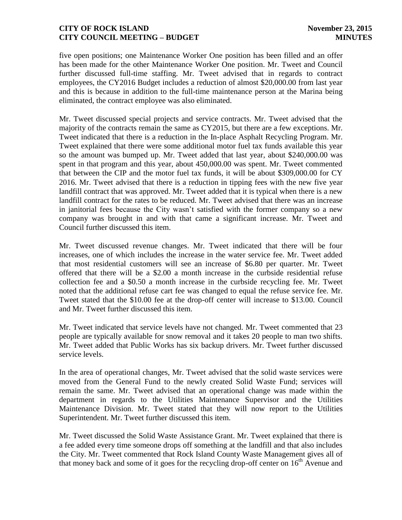five open positions; one Maintenance Worker One position has been filled and an offer has been made for the other Maintenance Worker One position. Mr. Tweet and Council further discussed full-time staffing. Mr. Tweet advised that in regards to contract employees, the CY2016 Budget includes a reduction of almost \$20,000.00 from last year and this is because in addition to the full-time maintenance person at the Marina being eliminated, the contract employee was also eliminated.

Mr. Tweet discussed special projects and service contracts. Mr. Tweet advised that the majority of the contracts remain the same as CY2015, but there are a few exceptions. Mr. Tweet indicated that there is a reduction in the In-place Asphalt Recycling Program. Mr. Tweet explained that there were some additional motor fuel tax funds available this year so the amount was bumped up. Mr. Tweet added that last year, about \$240,000.00 was spent in that program and this year, about 450,000.00 was spent. Mr. Tweet commented that between the CIP and the motor fuel tax funds, it will be about \$309,000.00 for CY 2016. Mr. Tweet advised that there is a reduction in tipping fees with the new five year landfill contract that was approved. Mr. Tweet added that it is typical when there is a new landfill contract for the rates to be reduced. Mr. Tweet advised that there was an increase in janitorial fees because the City wasn't satisfied with the former company so a new company was brought in and with that came a significant increase. Mr. Tweet and Council further discussed this item.

Mr. Tweet discussed revenue changes. Mr. Tweet indicated that there will be four increases, one of which includes the increase in the water service fee. Mr. Tweet added that most residential customers will see an increase of \$6.80 per quarter. Mr. Tweet offered that there will be a \$2.00 a month increase in the curbside residential refuse collection fee and a \$0.50 a month increase in the curbside recycling fee. Mr. Tweet noted that the additional refuse cart fee was changed to equal the refuse service fee. Mr. Tweet stated that the \$10.00 fee at the drop-off center will increase to \$13.00. Council and Mr. Tweet further discussed this item.

Mr. Tweet indicated that service levels have not changed. Mr. Tweet commented that 23 people are typically available for snow removal and it takes 20 people to man two shifts. Mr. Tweet added that Public Works has six backup drivers. Mr. Tweet further discussed service levels.

In the area of operational changes, Mr. Tweet advised that the solid waste services were moved from the General Fund to the newly created Solid Waste Fund; services will remain the same. Mr. Tweet advised that an operational change was made within the department in regards to the Utilities Maintenance Supervisor and the Utilities Maintenance Division. Mr. Tweet stated that they will now report to the Utilities Superintendent. Mr. Tweet further discussed this item.

Mr. Tweet discussed the Solid Waste Assistance Grant. Mr. Tweet explained that there is a fee added every time someone drops off something at the landfill and that also includes the City. Mr. Tweet commented that Rock Island County Waste Management gives all of that money back and some of it goes for the recycling drop-off center on  $16<sup>th</sup>$  Avenue and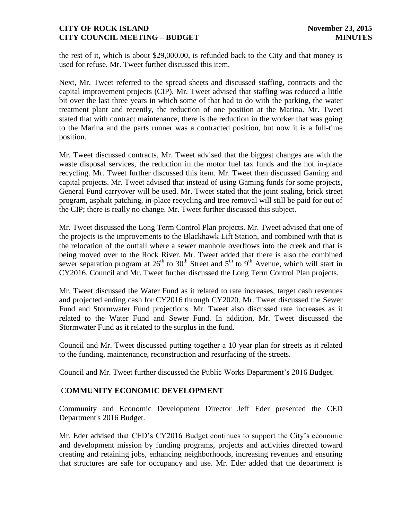the rest of it, which is about \$29,000.00, is refunded back to the City and that money is used for refuse. Mr. Tweet further discussed this item.

Next, Mr. Tweet referred to the spread sheets and discussed staffing, contracts and the capital improvement projects (CIP). Mr. Tweet advised that staffing was reduced a little bit over the last three years in which some of that had to do with the parking, the water treatment plant and recently, the reduction of one position at the Marina. Mr. Tweet stated that with contract maintenance, there is the reduction in the worker that was going to the Marina and the parts runner was a contracted position, but now it is a full-time position.

Mr. Tweet discussed contracts. Mr. Tweet advised that the biggest changes are with the waste disposal services, the reduction in the motor fuel tax funds and the hot in-place recycling. Mr. Tweet further discussed this item. Mr. Tweet then discussed Gaming and capital projects. Mr. Tweet advised that instead of using Gaming funds for some projects, General Fund carryover will be used. Mr. Tweet stated that the joint sealing, brick street program, asphalt patching, in-place recycling and tree removal will still be paid for out of the CIP; there is really no change. Mr. Tweet further discussed this subject.

Mr. Tweet discussed the Long Term Control Plan projects. Mr. Tweet advised that one of the projects is the improvements to the Blackhawk Lift Station, and combined with that is the relocation of the outfall where a sewer manhole overflows into the creek and that is being moved over to the Rock River. Mr. Tweet added that there is also the combined sewer separation program at  $26<sup>th</sup>$  to  $30<sup>th</sup>$  Street and  $5<sup>th</sup>$  to  $9<sup>th</sup>$  Avenue, which will start in CY2016. Council and Mr. Tweet further discussed the Long Term Control Plan projects.

Mr. Tweet discussed the Water Fund as it related to rate increases, target cash revenues and projected ending cash for CY2016 through CY2020. Mr. Tweet discussed the Sewer Fund and Stormwater Fund projections. Mr. Tweet also discussed rate increases as it related to the Water Fund and Sewer Fund. In addition, Mr. Tweet discussed the Stormwater Fund as it related to the surplus in the fund.

Council and Mr. Tweet discussed putting together a 10 year plan for streets as it related to the funding, maintenance, reconstruction and resurfacing of the streets.

Council and Mr. Tweet further discussed the Public Works Department's 2016 Budget.

# C**OMMUNITY ECONOMIC DEVELOPMENT**

Community and Economic Development Director Jeff Eder presented the CED Department's 2016 Budget.

Mr. Eder advised that CED's CY2016 Budget continues to support the City's economic and development mission by funding programs, projects and activities directed toward creating and retaining jobs, enhancing neighborhoods, increasing revenues and ensuring that structures are safe for occupancy and use. Mr. Eder added that the department is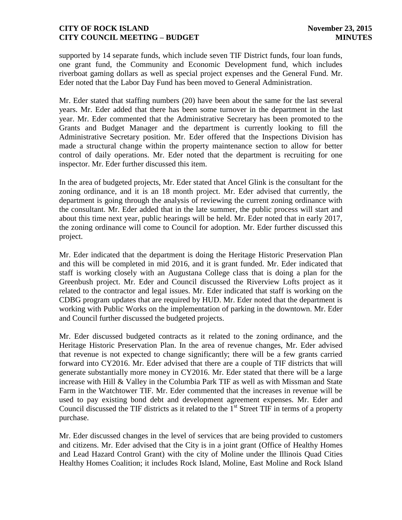supported by 14 separate funds, which include seven TIF District funds, four loan funds, one grant fund, the Community and Economic Development fund, which includes riverboat gaming dollars as well as special project expenses and the General Fund. Mr. Eder noted that the Labor Day Fund has been moved to General Administration.

Mr. Eder stated that staffing numbers (20) have been about the same for the last several years. Mr. Eder added that there has been some turnover in the department in the last year. Mr. Eder commented that the Administrative Secretary has been promoted to the Grants and Budget Manager and the department is currently looking to fill the Administrative Secretary position. Mr. Eder offered that the Inspections Division has made a structural change within the property maintenance section to allow for better control of daily operations. Mr. Eder noted that the department is recruiting for one inspector. Mr. Eder further discussed this item.

In the area of budgeted projects, Mr. Eder stated that Ancel Glink is the consultant for the zoning ordinance, and it is an 18 month project. Mr. Eder advised that currently, the department is going through the analysis of reviewing the current zoning ordinance with the consultant. Mr. Eder added that in the late summer, the public process will start and about this time next year, public hearings will be held. Mr. Eder noted that in early 2017, the zoning ordinance will come to Council for adoption. Mr. Eder further discussed this project.

Mr. Eder indicated that the department is doing the Heritage Historic Preservation Plan and this will be completed in mid 2016, and it is grant funded. Mr. Eder indicated that staff is working closely with an Augustana College class that is doing a plan for the Greenbush project. Mr. Eder and Council discussed the Riverview Lofts project as it related to the contractor and legal issues. Mr. Eder indicated that staff is working on the CDBG program updates that are required by HUD. Mr. Eder noted that the department is working with Public Works on the implementation of parking in the downtown. Mr. Eder and Council further discussed the budgeted projects.

Mr. Eder discussed budgeted contracts as it related to the zoning ordinance, and the Heritage Historic Preservation Plan. In the area of revenue changes, Mr. Eder advised that revenue is not expected to change significantly; there will be a few grants carried forward into CY2016. Mr. Eder advised that there are a couple of TIF districts that will generate substantially more money in CY2016. Mr. Eder stated that there will be a large increase with Hill & Valley in the Columbia Park TIF as well as with Missman and State Farm in the Watchtower TIF. Mr. Eder commented that the increases in revenue will be used to pay existing bond debt and development agreement expenses. Mr. Eder and Council discussed the TIF districts as it related to the  $1<sup>st</sup>$  Street TIF in terms of a property purchase.

Mr. Eder discussed changes in the level of services that are being provided to customers and citizens. Mr. Eder advised that the City is in a joint grant (Office of Healthy Homes and Lead Hazard Control Grant) with the city of Moline under the Illinois Quad Cities Healthy Homes Coalition; it includes Rock Island, Moline, East Moline and Rock Island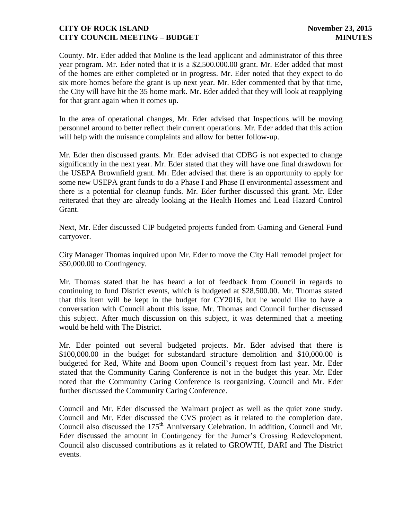County. Mr. Eder added that Moline is the lead applicant and administrator of this three year program. Mr. Eder noted that it is a \$2,500.000.00 grant. Mr. Eder added that most of the homes are either completed or in progress. Mr. Eder noted that they expect to do six more homes before the grant is up next year. Mr. Eder commented that by that time, the City will have hit the 35 home mark. Mr. Eder added that they will look at reapplying for that grant again when it comes up.

In the area of operational changes, Mr. Eder advised that Inspections will be moving personnel around to better reflect their current operations. Mr. Eder added that this action will help with the nuisance complaints and allow for better follow-up.

Mr. Eder then discussed grants. Mr. Eder advised that CDBG is not expected to change significantly in the next year. Mr. Eder stated that they will have one final drawdown for the USEPA Brownfield grant. Mr. Eder advised that there is an opportunity to apply for some new USEPA grant funds to do a Phase I and Phase II environmental assessment and there is a potential for cleanup funds. Mr. Eder further discussed this grant. Mr. Eder reiterated that they are already looking at the Health Homes and Lead Hazard Control Grant.

Next, Mr. Eder discussed CIP budgeted projects funded from Gaming and General Fund carryover.

City Manager Thomas inquired upon Mr. Eder to move the City Hall remodel project for \$50,000.00 to Contingency.

Mr. Thomas stated that he has heard a lot of feedback from Council in regards to continuing to fund District events, which is budgeted at \$28,500.00. Mr. Thomas stated that this item will be kept in the budget for CY2016, but he would like to have a conversation with Council about this issue. Mr. Thomas and Council further discussed this subject. After much discussion on this subject, it was determined that a meeting would be held with The District.

Mr. Eder pointed out several budgeted projects. Mr. Eder advised that there is \$100,000.00 in the budget for substandard structure demolition and \$10,000.00 is budgeted for Red, White and Boom upon Council's request from last year. Mr. Eder stated that the Community Caring Conference is not in the budget this year. Mr. Eder noted that the Community Caring Conference is reorganizing. Council and Mr. Eder further discussed the Community Caring Conference.

Council and Mr. Eder discussed the Walmart project as well as the quiet zone study. Council and Mr. Eder discussed the CVS project as it related to the completion date. Council also discussed the 175<sup>th</sup> Anniversary Celebration. In addition, Council and Mr. Eder discussed the amount in Contingency for the Jumer's Crossing Redevelopment. Council also discussed contributions as it related to GROWTH, DARI and The District events.